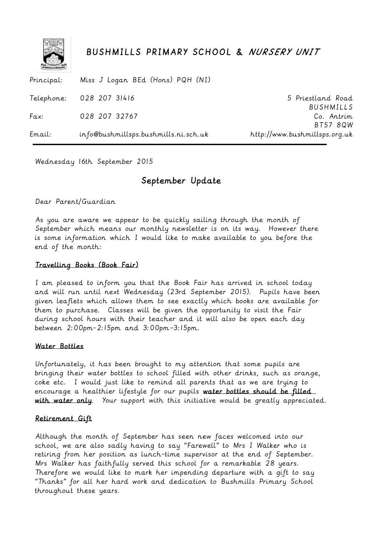

# BUSHMILLS PRIMARY SCHOOL & NURSERY UNIT

Principal: Telephone: Fax: Email: Miss J Logan BEd (Hons) PQH (NI) 028 207 31416 028 207 32767 info@bushmillsps.bushmills.ni.sch.uk 5 Priestland Road BUSHMILLS Co. Antrim BT57 8QW http://www.bushmillsps.org.uk

Wednesday 16th September 2015

# September Update

Dear Parent/Guardian

As you are aware we appear to be quickly sailing through the month of September which means our monthly newsletter is on its way. However there is some information which I would like to make available to you before the end of the month:

## Travelling Books (Book Fair)

I am pleased to inform you that the Book Fair has arrived in school today and will run until next Wednesday (23rd September 2015). Pupils have been given leaflets which allows them to see exactly which books are available for them to purchase. Classes will be given the opportunity to visit the Fair during school hours with their teacher and it will also be open each day between 2:00pm-2:15pm and 3:00pm–3:15pm.

### Water Bottles

Unfortunately, it has been brought to my attention that some pupils are bringing their water bottles to school filled with other drinks, such as orange, coke etc. I would just like to remind all parents that as we are trying to encourage a healthier lifestyle for our pupils water bottles should be filled with water only. Your support with this initiative would be greatly appreciated.

### Retirement Gift

Although the month of September has seen new faces welcomed into our school, we are also sadly having to say "Farewell" to Mrs I Walker who is retiring from her position as lunch-time supervisor at the end of September. Mrs Walker has faithfully served this school for a remarkable 28 years. Therefore we would like to mark her impending departure with a gift to say "Thanks" for all her hard work and dedication to Bushmills Primary School throughout these years.